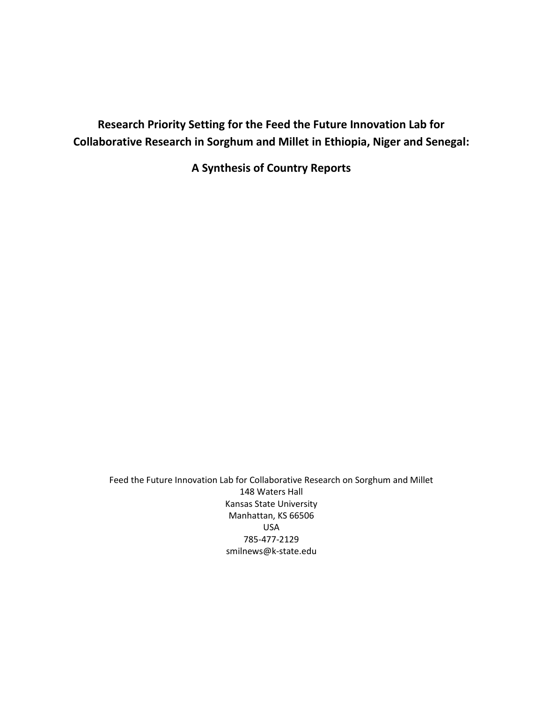# **Research Priority Setting for the Feed the Future Innovation Lab for Collaborative Research in Sorghum and Millet in Ethiopia, Niger and Senegal:**

**A Synthesis of Country Reports**

Feed the Future Innovation Lab for Collaborative Research on Sorghum and Millet 148 Waters Hall Kansas State University Manhattan, KS 66506 USA 785-477-2129 smilnews@k-state.edu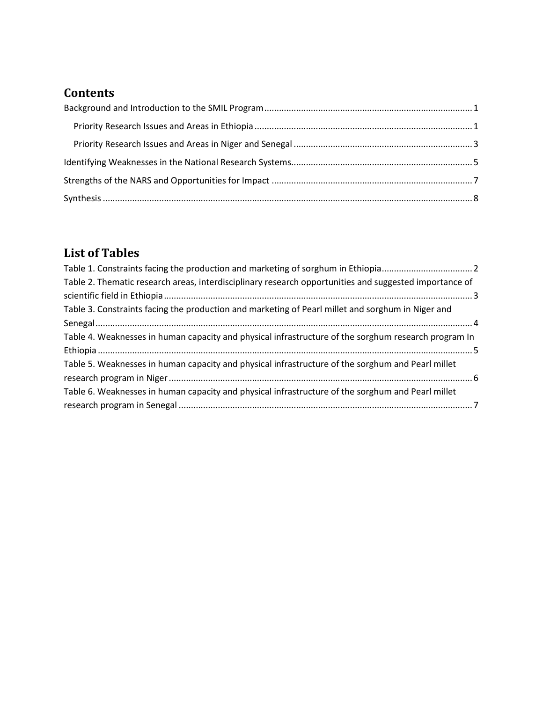# **Contents**

# **List of Tables**

| Table 2. Thematic research areas, interdisciplinary research opportunities and suggested importance of |  |
|--------------------------------------------------------------------------------------------------------|--|
|                                                                                                        |  |
| Table 3. Constraints facing the production and marketing of Pearl millet and sorghum in Niger and      |  |
|                                                                                                        |  |
| Table 4. Weaknesses in human capacity and physical infrastructure of the sorghum research program In   |  |
|                                                                                                        |  |
| Table 5. Weaknesses in human capacity and physical infrastructure of the sorghum and Pearl millet      |  |
|                                                                                                        |  |
| Table 6. Weaknesses in human capacity and physical infrastructure of the sorghum and Pearl millet      |  |
|                                                                                                        |  |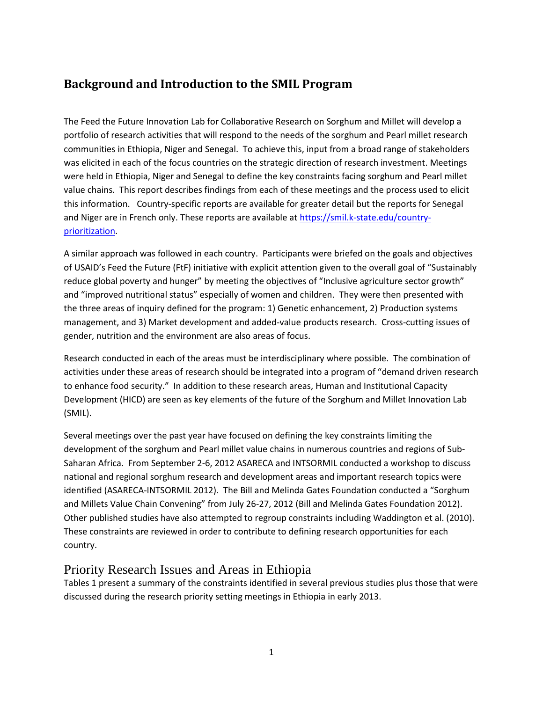## <span id="page-2-0"></span>**Background and Introduction to the SMIL Program**

The Feed the Future Innovation Lab for Collaborative Research on Sorghum and Millet will develop a portfolio of research activities that will respond to the needs of the sorghum and Pearl millet research communities in Ethiopia, Niger and Senegal. To achieve this, input from a broad range of stakeholders was elicited in each of the focus countries on the strategic direction of research investment. Meetings were held in Ethiopia, Niger and Senegal to define the key constraints facing sorghum and Pearl millet value chains. This report describes findings from each of these meetings and the process used to elicit this information. Country-specific reports are available for greater detail but the reports for Senegal and Niger are in French only. These reports are available at [https://smil.k-state.edu/country](https://smil.k-state.edu/country-prioritization)[prioritization.](https://smil.k-state.edu/country-prioritization)

A similar approach was followed in each country. Participants were briefed on the goals and objectives of USAID's Feed the Future (FtF) initiative with explicit attention given to the overall goal of "Sustainably reduce global poverty and hunger" by meeting the objectives of "Inclusive agriculture sector growth" and "improved nutritional status" especially of women and children. They were then presented with the three areas of inquiry defined for the program: 1) Genetic enhancement, 2) Production systems management, and 3) Market development and added-value products research. Cross-cutting issues of gender, nutrition and the environment are also areas of focus.

Research conducted in each of the areas must be interdisciplinary where possible. The combination of activities under these areas of research should be integrated into a program of "demand driven research to enhance food security." In addition to these research areas, Human and Institutional Capacity Development (HICD) are seen as key elements of the future of the Sorghum and Millet Innovation Lab (SMIL).

Several meetings over the past year have focused on defining the key constraints limiting the development of the sorghum and Pearl millet value chains in numerous countries and regions of Sub-Saharan Africa. From September 2-6, 2012 ASARECA and INTSORMIL conducted a workshop to discuss national and regional sorghum research and development areas and important research topics were identified (ASARECA-INTSORMIL 2012). The Bill and Melinda Gates Foundation conducted a "Sorghum and Millets Value Chain Convening" from July 26-27, 2012 (Bill and Melinda Gates Foundation 2012). Other published studies have also attempted to regroup constraints including Waddington et al. (2010). These constraints are reviewed in order to contribute to defining research opportunities for each country.

### <span id="page-2-1"></span>Priority Research Issues and Areas in Ethiopia

Tables 1 present a summary of the constraints identified in several previous studies plus those that were discussed during the research priority setting meetings in Ethiopia in early 2013.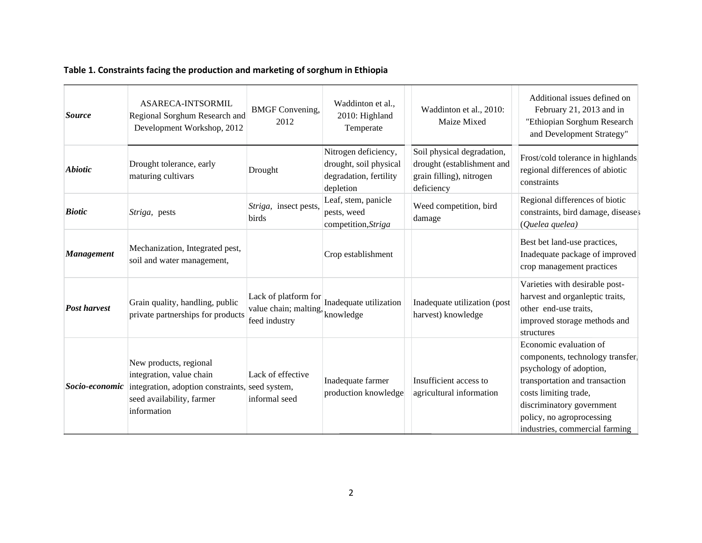## **Table 1. Constraints facing the production and marketing of sorghum in Ethiopia**

<span id="page-3-0"></span>

| <b>Source</b>       | ASARECA-INTSORMIL<br>Regional Sorghum Research and<br>Development Workshop, 2012                                                                  | <b>BMGF</b> Convening,<br>2012                                           | Waddinton et al.,<br>2010: Highland<br>Temperate                                      | Waddinton et al., 2010:<br>Maize Mixed                                                             | Additional issues defined on<br>February 21, 2013 and in<br>"Ethiopian Sorghum Research<br>and Development Strategy"                                                                                                                         |
|---------------------|---------------------------------------------------------------------------------------------------------------------------------------------------|--------------------------------------------------------------------------|---------------------------------------------------------------------------------------|----------------------------------------------------------------------------------------------------|----------------------------------------------------------------------------------------------------------------------------------------------------------------------------------------------------------------------------------------------|
| <b>Abiotic</b>      | Drought tolerance, early<br>maturing cultivars                                                                                                    | Drought                                                                  | Nitrogen deficiency,<br>drought, soil physical<br>degradation, fertility<br>depletion | Soil physical degradation,<br>drought (establishment and<br>grain filling), nitrogen<br>deficiency | Frost/cold tolerance in highlands.<br>regional differences of abiotic<br>constraints                                                                                                                                                         |
| <b>Biotic</b>       | <i>Striga</i> , pests                                                                                                                             | Striga, insect pests,<br>birds                                           | Leaf, stem, panicle<br>pests, weed<br>competition, Striga                             | Weed competition, bird<br>damage                                                                   | Regional differences of biotic<br>constraints, bird damage, diseases<br>(Quelea quelea)                                                                                                                                                      |
| <b>Management</b>   | Mechanization, Integrated pest,<br>soil and water management,                                                                                     |                                                                          | Crop establishment                                                                    |                                                                                                    | Best bet land-use practices,<br>Inadequate package of improved<br>crop management practices                                                                                                                                                  |
| <b>Post harvest</b> | Grain quality, handling, public<br>private partnerships for products                                                                              | Lack of platform for<br>value chain; malting, knowledge<br>feed industry | Inadequate utilization                                                                | Inadequate utilization (post<br>harvest) knowledge                                                 | Varieties with desirable post-<br>harvest and organ<br>leptic traits,<br>other end-use traits,<br>improved storage methods and<br>structures                                                                                                 |
| Socio-economic      | New products, regional<br>integration, value chain<br>integration, adoption constraints, seed system,<br>seed availability, farmer<br>information | Lack of effective<br>informal seed                                       | Inadequate farmer<br>production knowledge                                             | Insufficient access to<br>agricultural information                                                 | Economic evaluation of<br>components, technology transfer,<br>psychology of adoption,<br>transportation and transaction<br>costs limiting trade,<br>discriminatory government<br>policy, no agroprocessing<br>industries, commercial farming |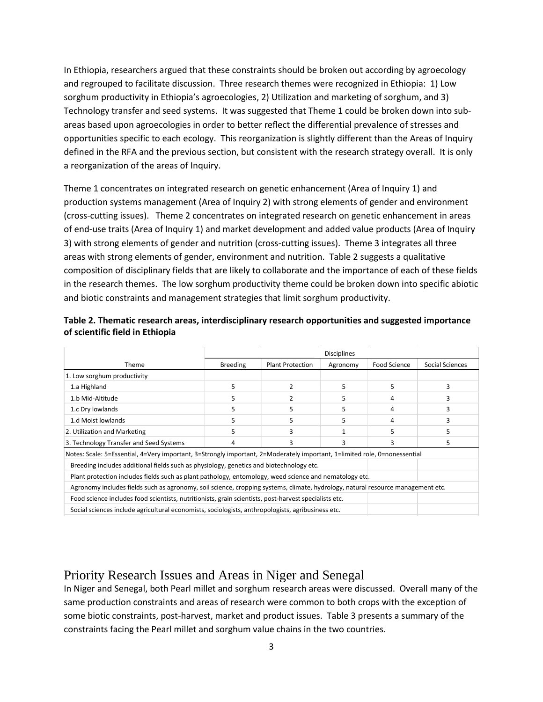In Ethiopia, researchers argued that these constraints should be broken out according by agroecology and regrouped to facilitate discussion. Three research themes were recognized in Ethiopia: 1) Low sorghum productivity in Ethiopia's agroecologies, 2) Utilization and marketing of sorghum, and 3) Technology transfer and seed systems. It was suggested that Theme 1 could be broken down into subareas based upon agroecologies in order to better reflect the differential prevalence of stresses and opportunities specific to each ecology. This reorganization is slightly different than the Areas of Inquiry defined in the RFA and the previous section, but consistent with the research strategy overall. It is only a reorganization of the areas of Inquiry.

Theme 1 concentrates on integrated research on genetic enhancement (Area of Inquiry 1) and production systems management (Area of Inquiry 2) with strong elements of gender and environment (cross-cutting issues). Theme 2 concentrates on integrated research on genetic enhancement in areas of end-use traits (Area of Inquiry 1) and market development and added value products (Area of Inquiry 3) with strong elements of gender and nutrition (cross-cutting issues). Theme 3 integrates all three areas with strong elements of gender, environment and nutrition. Table 2 suggests a qualitative composition of disciplinary fields that are likely to collaborate and the importance of each of these fields in the research themes. The low sorghum productivity theme could be broken down into specific abiotic and biotic constraints and management strategies that limit sorghum productivity.

|                                                                                                                                 | <b>Disciplines</b> |                         |          |              |                 |
|---------------------------------------------------------------------------------------------------------------------------------|--------------------|-------------------------|----------|--------------|-----------------|
| <b>Theme</b>                                                                                                                    | <b>Breeding</b>    | <b>Plant Protection</b> | Agronomy | Food Science | Social Sciences |
| 1. Low sorghum productivity                                                                                                     |                    |                         |          |              |                 |
| 1.a Highland                                                                                                                    | 5                  | 2                       | 5        | 5            |                 |
| 1.b Mid-Altitude                                                                                                                | 5                  | 2                       | 5        | 4            |                 |
| 1.c Dry lowlands                                                                                                                | 5                  |                         | 5        | 4            |                 |
| 1.d Moist lowlands                                                                                                              | 5                  |                         | 5        | 4            |                 |
| 2. Utilization and Marketing                                                                                                    | 5                  | 3                       |          |              |                 |
| 3. Technology Transfer and Seed Systems                                                                                         | 4                  | 3                       | 3        | 3            |                 |
| Notes: Scale: 5=Essential, 4=Very important, 3=Strongly important, 2=Moderately important, 1=limited role, 0=nonessential       |                    |                         |          |              |                 |
| Breeding includes additional fields such as physiology, genetics and biotechnology etc.                                         |                    |                         |          |              |                 |
| Plant protection includes fields such as plant pathology, entomology, weed science and nematology etc.                          |                    |                         |          |              |                 |
| Agronomy includes fields such as agronomy, soil science, cropping systems, climate, hydrology, natural resource management etc. |                    |                         |          |              |                 |
| Food science includes food scientists, nutritionists, grain scientists, post-harvest specialists etc.                           |                    |                         |          |              |                 |
| Social sciences include agricultural economists, sociologists, anthropologists, agribusiness etc.                               |                    |                         |          |              |                 |

#### <span id="page-4-1"></span>**Table 2. Thematic research areas, interdisciplinary research opportunities and suggested importance of scientific field in Ethiopia**

## <span id="page-4-0"></span>Priority Research Issues and Areas in Niger and Senegal

In Niger and Senegal, both Pearl millet and sorghum research areas were discussed. Overall many of the same production constraints and areas of research were common to both crops with the exception of some biotic constraints, post-harvest, market and product issues. Table 3 presents a summary of the constraints facing the Pearl millet and sorghum value chains in the two countries.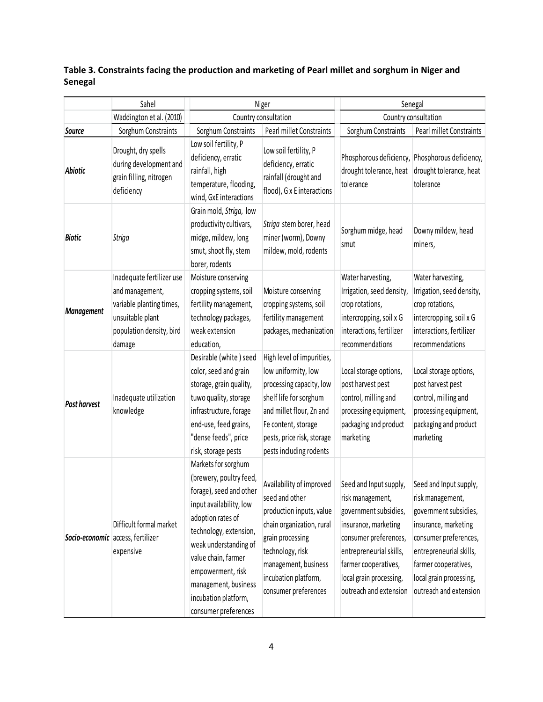<span id="page-5-0"></span>**Table 3. Constraints facing the production and marketing of Pearl millet and sorghum in Niger and Senegal**

|                   | Sahel                                                                                                                              | Niger                                                                                                                                                                                                                                                                                            |                                                                                                                                                                                                                     | Senegal                                                                                                                                                                                                                      |                                                                                                                                                                                                                              |  |
|-------------------|------------------------------------------------------------------------------------------------------------------------------------|--------------------------------------------------------------------------------------------------------------------------------------------------------------------------------------------------------------------------------------------------------------------------------------------------|---------------------------------------------------------------------------------------------------------------------------------------------------------------------------------------------------------------------|------------------------------------------------------------------------------------------------------------------------------------------------------------------------------------------------------------------------------|------------------------------------------------------------------------------------------------------------------------------------------------------------------------------------------------------------------------------|--|
|                   | Waddington et al. (2010)                                                                                                           | Country consultation                                                                                                                                                                                                                                                                             |                                                                                                                                                                                                                     | Country consultation                                                                                                                                                                                                         |                                                                                                                                                                                                                              |  |
| Source            | Sorghum Constraints                                                                                                                | Sorghum Constraints                                                                                                                                                                                                                                                                              | Pearl millet Constraints                                                                                                                                                                                            | Sorghum Constraints                                                                                                                                                                                                          | Pearl millet Constraints                                                                                                                                                                                                     |  |
| Abiotic           | Drought, dry spells<br>during development and<br>grain filling, nitrogen<br>deficiency                                             | Low soil fertility, P<br>deficiency, erratic<br>rainfall, high<br>temperature, flooding,<br>wind, GxE interactions                                                                                                                                                                               | Low soil fertility, P<br>deficiency, erratic<br>rainfall (drought and<br>flood), G x E interactions                                                                                                                 | drought tolerance, heat<br>tolerance                                                                                                                                                                                         | Phosphorous deficiency, Phosphorous deficiency,<br>drought tolerance, heat<br>tolerance                                                                                                                                      |  |
| <b>Biotic</b>     | Striga                                                                                                                             | Grain mold, Striga, low<br>productivity cultivars,<br>midge, mildew, long<br>smut, shoot fly, stem<br>borer, rodents                                                                                                                                                                             | Striga stem borer, head<br>miner (worm), Downy<br>mildew, mold, rodents                                                                                                                                             | Sorghum midge, head<br>smut                                                                                                                                                                                                  | Downy mildew, head<br>miners,                                                                                                                                                                                                |  |
| <b>Management</b> | Inadequate fertilizer use<br>and management,<br>variable planting times,<br>unsuitable plant<br>population density, bird<br>damage | Moisture conserving<br>cropping systems, soil<br>fertility management,<br>technology packages,<br>weak extension<br>education,                                                                                                                                                                   | Moisture conserving<br>cropping systems, soil<br>fertility management<br>packages, mechanization                                                                                                                    | Water harvesting,<br>Irrigation, seed density,<br>crop rotations,<br>intercropping, soil x G<br>interactions, fertilizer<br>recommendations                                                                                  | Water harvesting,<br>Irrigation, seed density,<br>crop rotations,<br>intercropping, soil x G<br>interactions, fertilizer<br>recommendations                                                                                  |  |
| Post harvest      | Inadequate utilization<br>knowledge                                                                                                | Desirable (white) seed<br>color, seed and grain<br>storage, grain quality,<br>tuwo quality, storage<br>infrastructure, forage<br>end-use, feed grains,<br>"dense feeds", price<br>risk, storage pests                                                                                            | High level of impurities,<br>low uniformity, low<br>processing capacity, low<br>shelf life for sorghum<br>and millet flour, Zn and<br>Fe content, storage<br>pests, price risk, storage<br>pests including rodents  | Local storage options,<br>post harvest pest<br>control, milling and<br>processing equipment,<br>packaging and product<br>marketing                                                                                           | Local storage options,<br>post harvest pest<br>control, milling and<br>processing equipment,<br>packaging and product<br>marketing                                                                                           |  |
|                   | Difficult formal market<br>Socio-economic access, fertilizer<br>expensive                                                          | Markets for sorghum<br>(brewery, poultry feed,<br>forage), seed and other<br>input availability, low<br>adoption rates of<br>technology, extension,<br>weak understanding of<br>value chain, farmer<br>empowerment, risk<br>management, business<br>incubation platform,<br>consumer preferences | Availability of improved<br>seed and other<br>production inputs, value<br>chain organization, rural<br>grain processing<br>technology, risk<br>management, business<br>incubation platform,<br>consumer preferences | Seed and Input supply,<br>risk management,<br>government subsidies,<br>insurance, marketing<br>consumer preferences,<br>entrepreneurial skills,<br>farmer cooperatives,<br>local grain processing,<br>outreach and extension | Seed and Input supply,<br>risk management,<br>government subsidies,<br>insurance, marketing<br>consumer preferences,<br>entrepreneurial skills,<br>farmer cooperatives,<br>local grain processing,<br>outreach and extension |  |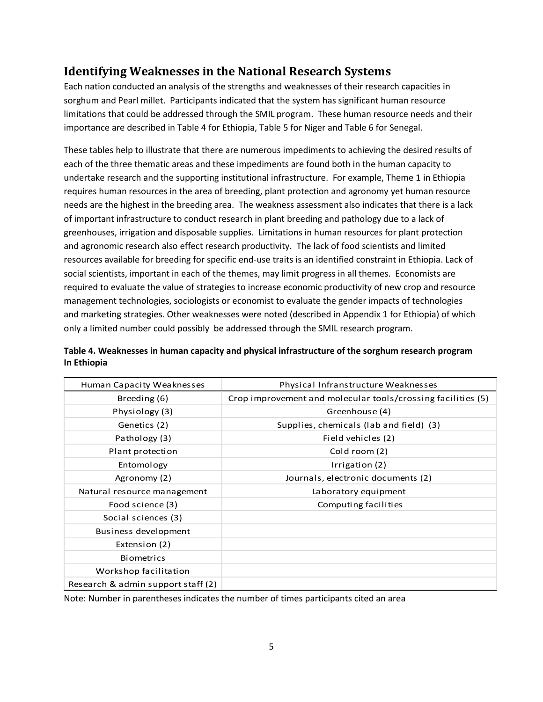## <span id="page-6-0"></span>**Identifying Weaknesses in the National Research Systems**

Each nation conducted an analysis of the strengths and weaknesses of their research capacities in sorghum and Pearl millet. Participants indicated that the system has significant human resource limitations that could be addressed through the SMIL program. These human resource needs and their importance are described in Table 4 for Ethiopia, Table 5 for Niger and Table 6 for Senegal.

These tables help to illustrate that there are numerous impediments to achieving the desired results of each of the three thematic areas and these impediments are found both in the human capacity to undertake research and the supporting institutional infrastructure. For example, Theme 1 in Ethiopia requires human resources in the area of breeding, plant protection and agronomy yet human resource needs are the highest in the breeding area. The weakness assessment also indicates that there is a lack of important infrastructure to conduct research in plant breeding and pathology due to a lack of greenhouses, irrigation and disposable supplies. Limitations in human resources for plant protection and agronomic research also effect research productivity. The lack of food scientists and limited resources available for breeding for specific end-use traits is an identified constraint in Ethiopia. Lack of social scientists, important in each of the themes, may limit progress in all themes. Economists are required to evaluate the value of strategies to increase economic productivity of new crop and resource management technologies, sociologists or economist to evaluate the gender impacts of technologies and marketing strategies. Other weaknesses were noted (described in Appendix 1 for Ethiopia) of which only a limited number could possibly be addressed through the SMIL research program.

| Human Capacity Weaknesses          | Physical Infranstructure Weaknesses                          |
|------------------------------------|--------------------------------------------------------------|
| Breeding (6)                       | Crop improvement and molecular tools/crossing facilities (5) |
| Physiology (3)                     | Greenhouse (4)                                               |
| Genetics (2)                       | Supplies, chemicals (lab and field) (3)                      |
| Pathology (3)                      | Field vehicles (2)                                           |
| Plant protection                   | Cold room (2)                                                |
| Entomology                         | Irrigation (2)                                               |
| Agronomy (2)                       | Journals, electronic documents (2)                           |
| Natural resource management        | Laboratory equipment                                         |
| Food science (3)                   | Computing facilities                                         |
| Social sciences (3)                |                                                              |
| Business development               |                                                              |
| Extension (2)                      |                                                              |
| <b>Biometrics</b>                  |                                                              |
| Workshop facilitation              |                                                              |
| Research & admin support staff (2) |                                                              |

#### <span id="page-6-1"></span>**Table 4. Weaknesses in human capacity and physical infrastructure of the sorghum research program In Ethiopia**

Note: Number in parentheses indicates the number of times participants cited an area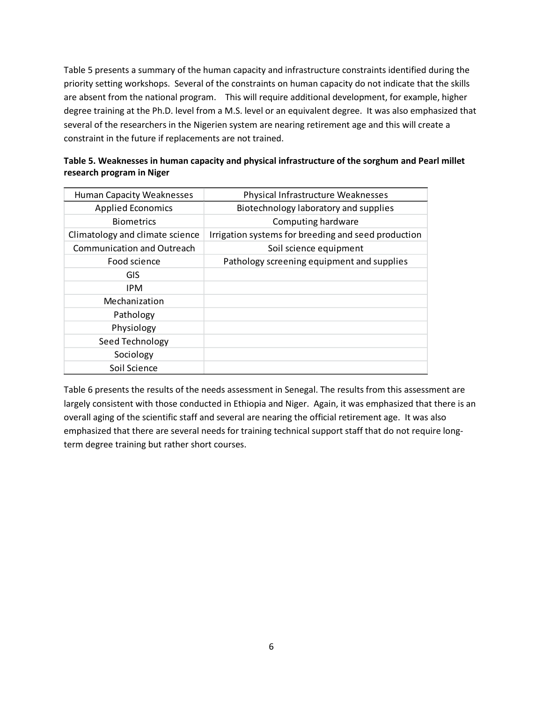Table 5 presents a summary of the human capacity and infrastructure constraints identified during the priority setting workshops. Several of the constraints on human capacity do not indicate that the skills are absent from the national program. This will require additional development, for example, higher degree training at the Ph.D. level from a M.S. level or an equivalent degree. It was also emphasized that several of the researchers in the Nigerien system are nearing retirement age and this will create a constraint in the future if replacements are not trained.

<span id="page-7-0"></span>

| Table 5. Weaknesses in human capacity and physical infrastructure of the sorghum and Pearl millet |  |
|---------------------------------------------------------------------------------------------------|--|
| research program in Niger                                                                         |  |

| <b>Human Capacity Weaknesses</b> | Physical Infrastructure Weaknesses                  |
|----------------------------------|-----------------------------------------------------|
| <b>Applied Economics</b>         | Biotechnology laboratory and supplies               |
| <b>Biometrics</b>                | Computing hardware                                  |
| Climatology and climate science  | Irrigation systems for breeding and seed production |
| Communication and Outreach       | Soil science equipment                              |
| Food science                     | Pathology screening equipment and supplies          |
| GIS                              |                                                     |
| <b>IPM</b>                       |                                                     |
| Mechanization                    |                                                     |
| Pathology                        |                                                     |
| Physiology                       |                                                     |
| Seed Technology                  |                                                     |
| Sociology                        |                                                     |
| Soil Science                     |                                                     |

Table 6 presents the results of the needs assessment in Senegal. The results from this assessment are largely consistent with those conducted in Ethiopia and Niger. Again, it was emphasized that there is an overall aging of the scientific staff and several are nearing the official retirement age. It was also emphasized that there are several needs for training technical support staff that do not require longterm degree training but rather short courses.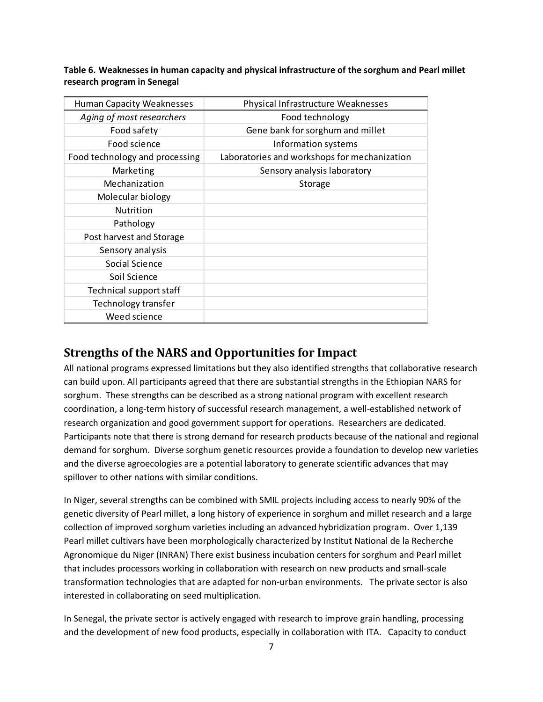<span id="page-8-1"></span>**Table 6. Weaknesses in human capacity and physical infrastructure of the sorghum and Pearl millet research program in Senegal**

| <b>Human Capacity Weaknesses</b> | Physical Infrastructure Weaknesses           |
|----------------------------------|----------------------------------------------|
| Aging of most researchers        | Food technology                              |
| Food safety                      | Gene bank for sorghum and millet             |
| Food science                     | Information systems                          |
| Food technology and processing   | Laboratories and workshops for mechanization |
| Marketing                        | Sensory analysis laboratory                  |
| Mechanization                    | Storage                                      |
| Molecular biology                |                                              |
| Nutrition                        |                                              |
| Pathology                        |                                              |
| Post harvest and Storage         |                                              |
| Sensory analysis                 |                                              |
| Social Science                   |                                              |
| Soil Science                     |                                              |
| Technical support staff          |                                              |
| Technology transfer              |                                              |
| Weed science                     |                                              |

## <span id="page-8-0"></span>**Strengths of the NARS and Opportunities for Impact**

All national programs expressed limitations but they also identified strengths that collaborative research can build upon. All participants agreed that there are substantial strengths in the Ethiopian NARS for sorghum. These strengths can be described as a strong national program with excellent research coordination, a long-term history of successful research management, a well-established network of research organization and good government support for operations. Researchers are dedicated. Participants note that there is strong demand for research products because of the national and regional demand for sorghum. Diverse sorghum genetic resources provide a foundation to develop new varieties and the diverse agroecologies are a potential laboratory to generate scientific advances that may spillover to other nations with similar conditions.

In Niger, several strengths can be combined with SMIL projects including access to nearly 90% of the genetic diversity of Pearl millet, a long history of experience in sorghum and millet research and a large collection of improved sorghum varieties including an advanced hybridization program. Over 1,139 Pearl millet cultivars have been morphologically characterized by Institut National de la Recherche Agronomique du Niger (INRAN) There exist business incubation centers for sorghum and Pearl millet that includes processors working in collaboration with research on new products and small-scale transformation technologies that are adapted for non-urban environments. The private sector is also interested in collaborating on seed multiplication.

In Senegal, the private sector is actively engaged with research to improve grain handling, processing and the development of new food products, especially in collaboration with ITA. Capacity to conduct